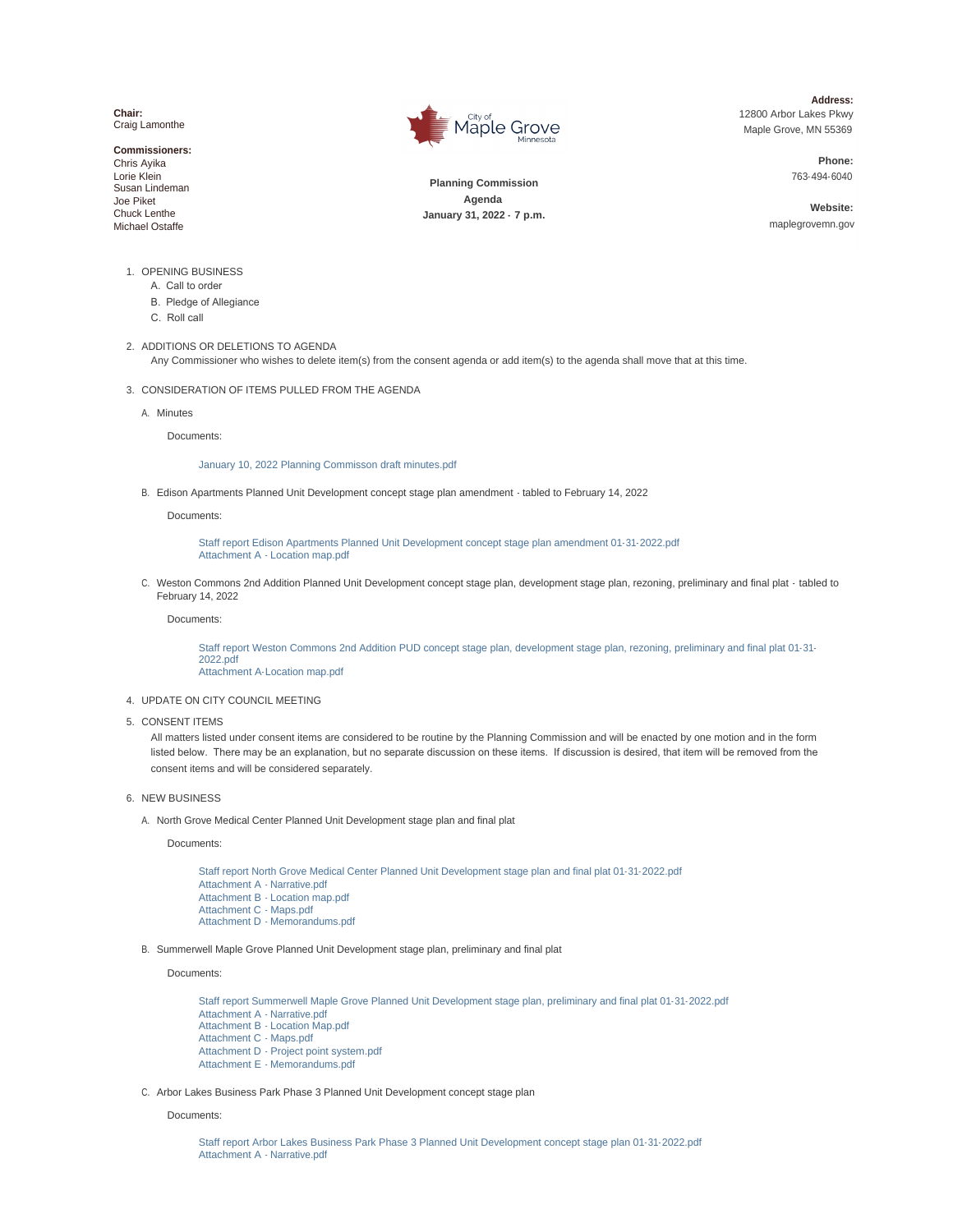**Chair:** Craig Lamonthe

**Commissioners:** Chris Ayika Lorie Klein Susan Lindeman Joe Piket Chuck Lenthe Michael Ostaffe



**Address:** 12800 Arbor Lakes Pkwy Maple Grove, MN 55369

> **Phone:** 763-494- 6040

**Planning Commission Agenda January 31, 2022 - 7 p.m.**

**Website:** maplegrovemn.gov

- 1. OPENING BUSINESS
	- A. Call to order
	- B. Pledge of Allegiance
	- C. Roll call
- 2. ADDITIONS OR DELETIONS TO AGENDA

Any Commissioner who wishes to delete item(s) from the consent agenda or add item(s) to the agenda shall move that at this time.

- 3. CONSIDERATION OF ITEMS PULLED FROM THE AGENDA
	- A. Minutes

Documents:

## [January 10, 2022 Planning Commisson draft minutes.pdf](https://www.maplegrovemn.gov/AgendaCenter/ViewFile/Item/1164?fileID=4519)

Edison Apartments Planned Unit Development concept stage plan amendment - tabled to February 14, 2022 B.

Documents:

[Staff report Edison Apartments Planned Unit Development concept stage plan amendment 0](https://www.maplegrovemn.gov/AgendaCenter/ViewFile/Item/1171?fileID=4563)1-31-2022.pdf [Attachment A - Location map.pdf](https://www.maplegrovemn.gov/AgendaCenter/ViewFile/Item/1171?fileID=4564)

C. Weston Commons 2nd Addition Planned Unit Development concept stage plan, development stage plan, rezoning, preliminary and final plat - tabled to February 14, 2022

Documents:

[Staff report Weston Commons 2nd Addition PUD concept stage plan, development stage p](https://www.maplegrovemn.gov/AgendaCenter/ViewFile/Item/1170?fileID=4562)lan, rezoning, preliminary and final plat 01-31-2022.pdf [Attachment A-Location map.pdf](https://www.maplegrovemn.gov/AgendaCenter/ViewFile/Item/1170?fileID=4561)

- UPDATE ON CITY COUNCIL MEETING 4.
- 5. CONSENT ITEMS

All matters listed under consent items are considered to be routine by the Planning Commission and will be enacted by one motion and in the form listed below. There may be an explanation, but no separate discussion on these items. If discussion is desired, that item will be removed from the consent items and will be considered separately.

- 6. NEW BUSINESS
	- A. North Grove Medical Center Planned Unit Development stage plan and final plat

Documents:

[Staff report North Grove Medical Center Planned Unit Development stage plan and final plat](https://www.maplegrovemn.gov/AgendaCenter/ViewFile/Item/1168?fileID=4556) 01-31-2022.pdf [Attachment A - Narrative.pdf](https://www.maplegrovemn.gov/AgendaCenter/ViewFile/Item/1168?fileID=4557) [Attachment B - Location map.pdf](https://www.maplegrovemn.gov/AgendaCenter/ViewFile/Item/1168?fileID=4558) [Attachment C - Maps.pdf](https://www.maplegrovemn.gov/AgendaCenter/ViewFile/Item/1168?fileID=4559) [Attachment D - Memorandums.pdf](https://www.maplegrovemn.gov/AgendaCenter/ViewFile/Item/1168?fileID=4560)

Summerwell Maple Grove Planned Unit Development stage plan, preliminary and final plat B.

Documents:

[Staff report Summerwell Maple Grove Planned Unit Development stage plan, preliminary and](https://www.maplegrovemn.gov/AgendaCenter/ViewFile/Item/1172?fileID=4573) final plat 01- 31-2022.pdf [Attachment A - Narrative.pdf](https://www.maplegrovemn.gov/AgendaCenter/ViewFile/Item/1172?fileID=4566) [Attachment B - Location Map.pdf](https://www.maplegrovemn.gov/AgendaCenter/ViewFile/Item/1172?fileID=4567) [Attachment C - Maps.pdf](https://www.maplegrovemn.gov/AgendaCenter/ViewFile/Item/1172?fileID=4568) [Attachment D - Project point system.pdf](https://www.maplegrovemn.gov/AgendaCenter/ViewFile/Item/1172?fileID=4570) [Attachment E - Memorandums.pdf](https://www.maplegrovemn.gov/AgendaCenter/ViewFile/Item/1172?fileID=4569)

C. Arbor Lakes Business Park Phase 3 Planned Unit Development concept stage plan

## Documents:

[Staff report Arbor Lakes Business Park Phase 3 Planned Unit Development concept stage p](https://www.maplegrovemn.gov/AgendaCenter/ViewFile/Item/1166?fileID=4572)lan 01-31-2022.pdf [Attachment A - Narrative.pdf](https://www.maplegrovemn.gov/AgendaCenter/ViewFile/Item/1166?fileID=4523)